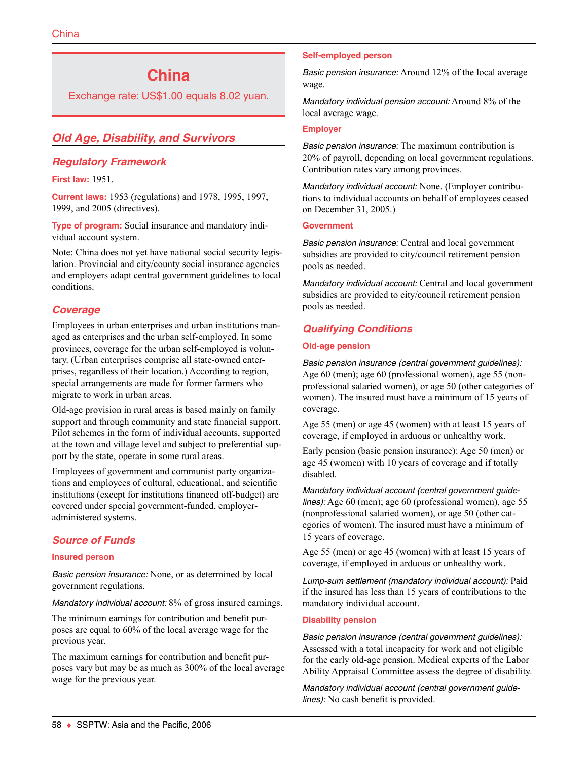# **China**

Exchange rate: US\$1.00 equals 8.02 yuan.

# *Old Age, Disability, and Survivors*

# *Regulatory Framework*

**First law:** 1951.

**Current laws:** 1953 (regulations) and 1978, 1995, 1997, 1999, and 2005 (directives).

**Type of program:** Social insurance and mandatory individual account system.

Note: China does not yet have national social security legislation. Provincial and city/county social insurance agencies and employers adapt central government guidelines to local conditions.

# *Coverage*

Employees in urban enterprises and urban institutions managed as enterprises and the urban self-employed. In some provinces, coverage for the urban self-employed is voluntary. (Urban enterprises comprise all state-owned enterprises, regardless of their location.) According to region, special arrangements are made for former farmers who migrate to work in urban areas.

Old-age provision in rural areas is based mainly on family support and through community and state financial support. Pilot schemes in the form of individual accounts, supported at the town and village level and subject to preferential support by the state, operate in some rural areas.

Employees of government and communist party organizations and employees of cultural, educational, and scientific institutions (except for institutions financed off-budget) are covered under special government-funded, employeradministered systems.

# *Source of Funds*

### **Insured person**

*Basic pension insurance:* None, or as determined by local government regulations.

*Mandatory individual account:* 8% of gross insured earnings.

The minimum earnings for contribution and benefit purposes are equal to 60% of the local average wage for the previous year.

The maximum earnings for contribution and benefit purposes vary but may be as much as 300% of the local average wage for the previous year.

#### **Self-employed person**

*Basic pension insurance:* Around 12% of the local average wage.

*Mandatory individual pension account:* Around 8% of the local average wage.

#### **Employer**

*Basic pension insurance:* The maximum contribution is 20% of payroll, depending on local government regulations. Contribution rates vary among provinces.

*Mandatory individual account:* None. (Employer contributions to individual accounts on behalf of employees ceased on December 31, 2005.)

#### **Government**

*Basic pension insurance:* Central and local government subsidies are provided to city/council retirement pension pools as needed.

*Mandatory individual account:* Central and local government subsidies are provided to city/council retirement pension pools as needed.

# *Qualifying Conditions*

### **Old-age pension**

*Basic pension insurance (central government guidelines):* Age 60 (men); age 60 (professional women), age 55 (nonprofessional salaried women), or age 50 (other categories of women). The insured must have a minimum of 15 years of coverage.

Age 55 (men) or age 45 (women) with at least 15 years of coverage, if employed in arduous or unhealthy work.

Early pension (basic pension insurance): Age 50 (men) or age 45 (women) with 10 years of coverage and if totally disabled.

*Mandatory individual account (central government guidelines):* Age 60 (men); age 60 (professional women), age 55 (nonprofessional salaried women), or age 50 (other categories of women). The insured must have a minimum of 15 years of coverage.

Age 55 (men) or age 45 (women) with at least 15 years of coverage, if employed in arduous or unhealthy work.

*Lump-sum settlement (mandatory individual account):* Paid if the insured has less than 15 years of contributions to the mandatory individual account.

### **Disability pension**

*Basic pension insurance (central government guidelines):* Assessed with a total incapacity for work and not eligible for the early old-age pension. Medical experts of the Labor Ability Appraisal Committee assess the degree of disability.

*Mandatory individual account (central government guidelines*): No cash benefit is provided.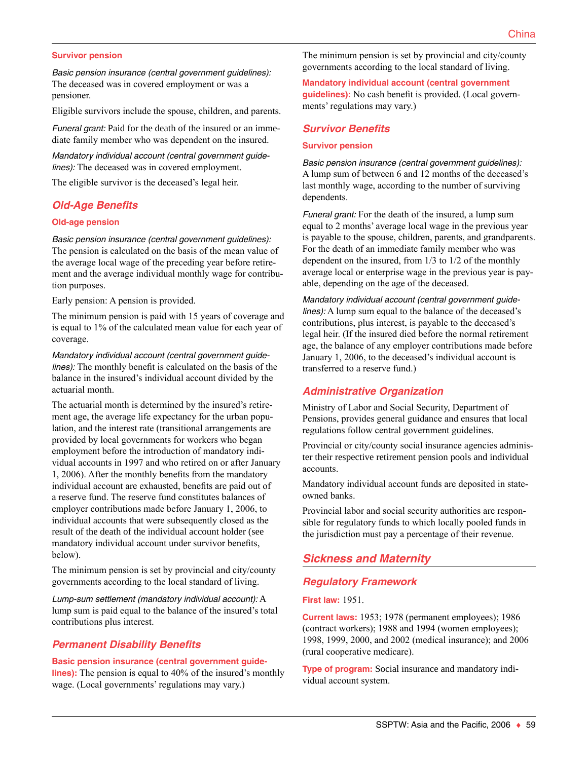#### **Survivor pension**

*Basic pension insurance (central government guidelines):* The deceased was in covered employment or was a pensioner.

Eligible survivors include the spouse, children, and parents.

*Funeral grant:* Paid for the death of the insured or an immediate family member who was dependent on the insured.

*Mandatory individual account (central government guidelines):* The deceased was in covered employment.

The eligible survivor is the deceased's legal heir.

### *Old-Age Benefits*

#### **Old-age pension**

*Basic pension insurance (central government guidelines):* The pension is calculated on the basis of the mean value of the average local wage of the preceding year before retirement and the average individual monthly wage for contribution purposes.

Early pension: A pension is provided.

The minimum pension is paid with 15 years of coverage and is equal to 1% of the calculated mean value for each year of coverage.

*Mandatory individual account (central government guidelines):* The monthly benefit is calculated on the basis of the balance in the insured's individual account divided by the actuarial month.

The actuarial month is determined by the insured's retirement age, the average life expectancy for the urban population, and the interest rate (transitional arrangements are provided by local governments for workers who began employment before the introduction of mandatory individual accounts in 1997 and who retired on or after January 1, 2006). After the monthly benefits from the mandatory individual account are exhausted, benefits are paid out of a reserve fund. The reserve fund constitutes balances of employer contributions made before January 1, 2006, to individual accounts that were subsequently closed as the result of the death of the individual account holder (see mandatory individual account under survivor benefits, below).

The minimum pension is set by provincial and city/county governments according to the local standard of living.

*Lump-sum settlement (mandatory individual account):* A lump sum is paid equal to the balance of the insured's total contributions plus interest.

## *Permanent Disability Benefits*

#### **Basic pension insurance (central government guide-**

**lines):** The pension is equal to 40% of the insured's monthly wage. (Local governments' regulations may vary.)

The minimum pension is set by provincial and city/county governments according to the local standard of living.

#### **Mandatory individual account (central government guidelines):** No cash benefit is provided. (Local govern-

ments' regulations may vary.)

#### *Survivor Benefits*

#### **Survivor pension**

*Basic pension insurance (central government guidelines):* A lump sum of between 6 and 12 months of the deceased's last monthly wage, according to the number of surviving dependents.

*Funeral grant:* For the death of the insured, a lump sum equal to 2 months' average local wage in the previous year is payable to the spouse, children, parents, and grandparents. For the death of an immediate family member who was dependent on the insured, from 1/3 to 1/2 of the monthly average local or enterprise wage in the previous year is payable, depending on the age of the deceased.

*Mandatory individual account (central government guidelines):* A lump sum equal to the balance of the deceased's contributions, plus interest, is payable to the deceased's legal heir. (If the insured died before the normal retirement age, the balance of any employer contributions made before January 1, 2006, to the deceased's individual account is transferred to a reserve fund.)

### *Administrative Organization*

Ministry of Labor and Social Security, Department of Pensions, provides general guidance and ensures that local regulations follow central government guidelines.

Provincial or city/county social insurance agencies administer their respective retirement pension pools and individual accounts.

Mandatory individual account funds are deposited in stateowned banks.

Provincial labor and social security authorities are responsible for regulatory funds to which locally pooled funds in the jurisdiction must pay a percentage of their revenue.

# *Sickness and Maternity*

### *Regulatory Framework*

#### **First law:** 1951.

**Current laws:** 1953; 1978 (permanent employees); 1986 (contract workers); 1988 and 1994 (women employees); 1998, 1999, 2000, and 2002 (medical insurance); and 2006 (rural cooperative medicare).

**Type of program:** Social insurance and mandatory individual account system.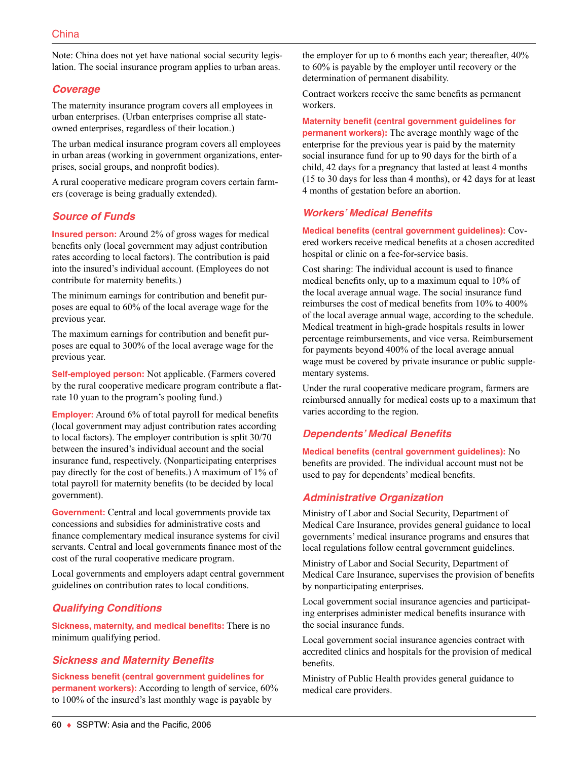Note: China does not yet have national social security legislation. The social insurance program applies to urban areas.

# *Coverage*

The maternity insurance program covers all employees in urban enterprises. (Urban enterprises comprise all stateowned enterprises, regardless of their location.)

The urban medical insurance program covers all employees in urban areas (working in government organizations, enterprises, social groups, and nonprofit bodies).

A rural cooperative medicare program covers certain farmers (coverage is being gradually extended).

# *Source of Funds*

**Insured person:** Around 2% of gross wages for medical benefits only (local government may adjust contribution rates according to local factors). The contribution is paid into the insured's individual account. (Employees do not contribute for maternity benefits.)

The minimum earnings for contribution and benefit purposes are equal to 60% of the local average wage for the previous year.

The maximum earnings for contribution and benefit purposes are equal to 300% of the local average wage for the previous year.

**Self-employed person:** Not applicable. (Farmers covered by the rural cooperative medicare program contribute a flatrate 10 yuan to the program's pooling fund.)

**Employer:** Around 6% of total payroll for medical benefits (local government may adjust contribution rates according to local factors). The employer contribution is split 30/70 between the insured's individual account and the social insurance fund, respectively. (Nonparticipating enterprises pay directly for the cost of benefits.) A maximum of 1% of total payroll for maternity benefits (to be decided by local government).

**Government:** Central and local governments provide tax concessions and subsidies for administrative costs and finance complementary medical insurance systems for civil servants. Central and local governments finance most of the cost of the rural cooperative medicare program.

Local governments and employers adapt central government guidelines on contribution rates to local conditions.

# *Qualifying Conditions*

**Sickness, maternity, and medical benefits:** There is no minimum qualifying period.

# *Sickness and Maternity Benefits*

**Sickness benefit (central government guidelines for permanent workers):** According to length of service,  $60\%$ to 100% of the insured's last monthly wage is payable by

the employer for up to 6 months each year; thereafter, 40% to 60% is payable by the employer until recovery or the determination of permanent disability.

Contract workers receive the same benefits as permanent workers.

**Maternity benefit (central government guidelines for permanent workers):** The average monthly wage of the enterprise for the previous year is paid by the maternity social insurance fund for up to 90 days for the birth of a child, 42 days for a pregnancy that lasted at least 4 months (15 to 30 days for less than 4 months), or 42 days for at least 4 months of gestation before an abortion.

# *Workers' Medical Benefits*

**Medical benefits (central government guidelines):** Covered workers receive medical benefits at a chosen accredited hospital or clinic on a fee-for-service basis.

Cost sharing: The individual account is used to finance medical benefits only, up to a maximum equal to 10% of the local average annual wage. The social insurance fund reimburses the cost of medical benefits from 10% to 400% of the local average annual wage, according to the schedule. Medical treatment in high-grade hospitals results in lower percentage reimbursements, and vice versa. Reimbursement for payments beyond 400% of the local average annual wage must be covered by private insurance or public supplementary systems.

Under the rural cooperative medicare program, farmers are reimbursed annually for medical costs up to a maximum that varies according to the region.

# *Dependents' Medical Benefits*

**Medical benefits (central government guidelines):** No benefits are provided. The individual account must not be used to pay for dependents' medical benefits.

## *Administrative Organization*

Ministry of Labor and Social Security, Department of Medical Care Insurance, provides general guidance to local governments' medical insurance programs and ensures that local regulations follow central government guidelines.

Ministry of Labor and Social Security, Department of Medical Care Insurance, supervises the provision of benefits by nonparticipating enterprises.

Local government social insurance agencies and participating enterprises administer medical benefits insurance with the social insurance funds.

Local government social insurance agencies contract with accredited clinics and hospitals for the provision of medical benefits.

Ministry of Public Health provides general guidance to medical care providers.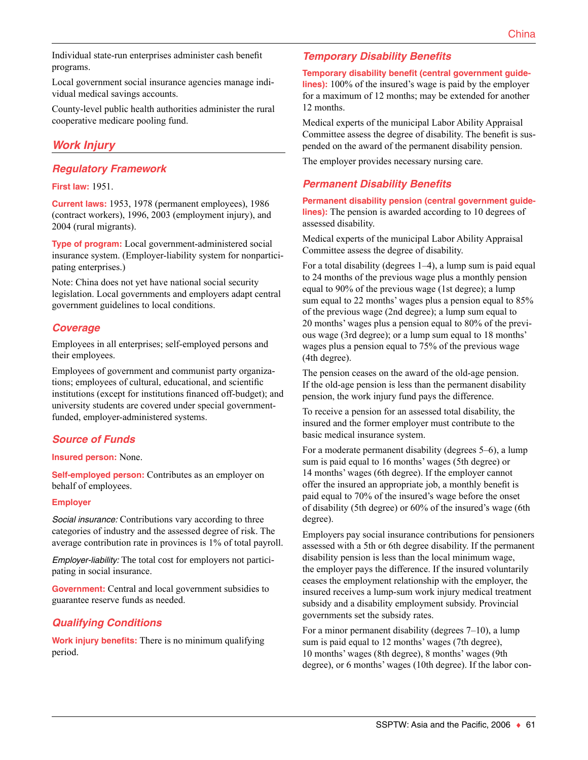Individual state-run enterprises administer cash benefit programs.

Local government social insurance agencies manage individual medical savings accounts.

County-level public health authorities administer the rural cooperative medicare pooling fund.

# *Work Injury*

## *Regulatory Framework*

#### **First law:** 1951.

**Current laws:** 1953, 1978 (permanent employees), 1986 (contract workers), 1996, 2003 (employment injury), and 2004 (rural migrants).

**Type of program:** Local government-administered social insurance system. (Employer-liability system for nonparticipating enterprises.)

Note: China does not yet have national social security legislation. Local governments and employers adapt central government guidelines to local conditions.

### *Coverage*

Employees in all enterprises; self-employed persons and their employees.

Employees of government and communist party organizations; employees of cultural, educational, and scientific institutions (except for institutions financed off-budget); and university students are covered under special governmentfunded, employer-administered systems.

## *Source of Funds*

#### **Insured person:** None.

**Self-employed person:** Contributes as an employer on behalf of employees.

#### **Employer**

*Social insurance:* Contributions vary according to three categories of industry and the assessed degree of risk. The average contribution rate in provinces is 1% of total payroll.

*Employer-liability:* The total cost for employers not participating in social insurance.

**Government:** Central and local government subsidies to guarantee reserve funds as needed.

## *Qualifying Conditions*

**Work injury benefits:** There is no minimum qualifying period.

### *Temporary Disability Benefits*

**Temporary disability benefit (central government guidelines):** 100% of the insured's wage is paid by the employer for a maximum of 12 months; may be extended for another 12 months.

Medical experts of the municipal Labor Ability Appraisal Committee assess the degree of disability. The benefit is suspended on the award of the permanent disability pension.

The employer provides necessary nursing care.

### *Permanent Disability Benefits*

**Permanent disability pension (central government guidelines):** The pension is awarded according to 10 degrees of assessed disability.

Medical experts of the municipal Labor Ability Appraisal Committee assess the degree of disability.

For a total disability (degrees 1–4), a lump sum is paid equal to 24 months of the previous wage plus a monthly pension equal to 90% of the previous wage (1st degree); a lump sum equal to 22 months' wages plus a pension equal to 85% of the previous wage (2nd degree); a lump sum equal to 20 months' wages plus a pension equal to 80% of the previous wage (3rd degree); or a lump sum equal to 18 months' wages plus a pension equal to 75% of the previous wage (4th degree).

The pension ceases on the award of the old-age pension. If the old-age pension is less than the permanent disability pension, the work injury fund pays the difference.

To receive a pension for an assessed total disability, the insured and the former employer must contribute to the basic medical insurance system.

For a moderate permanent disability (degrees 5–6), a lump sum is paid equal to 16 months' wages (5th degree) or 14 months' wages (6th degree). If the employer cannot offer the insured an appropriate job, a monthly benefit is paid equal to 70% of the insured's wage before the onset of disability (5th degree) or 60% of the insured's wage (6th degree).

Employers pay social insurance contributions for pensioners assessed with a 5th or 6th degree disability. If the permanent disability pension is less than the local minimum wage, the employer pays the difference. If the insured voluntarily ceases the employment relationship with the employer, the insured receives a lump-sum work injury medical treatment subsidy and a disability employment subsidy. Provincial governments set the subsidy rates.

For a minor permanent disability (degrees 7–10), a lump sum is paid equal to 12 months' wages (7th degree), 10 months' wages (8th degree), 8 months' wages (9th degree), or 6 months' wages (10th degree). If the labor con